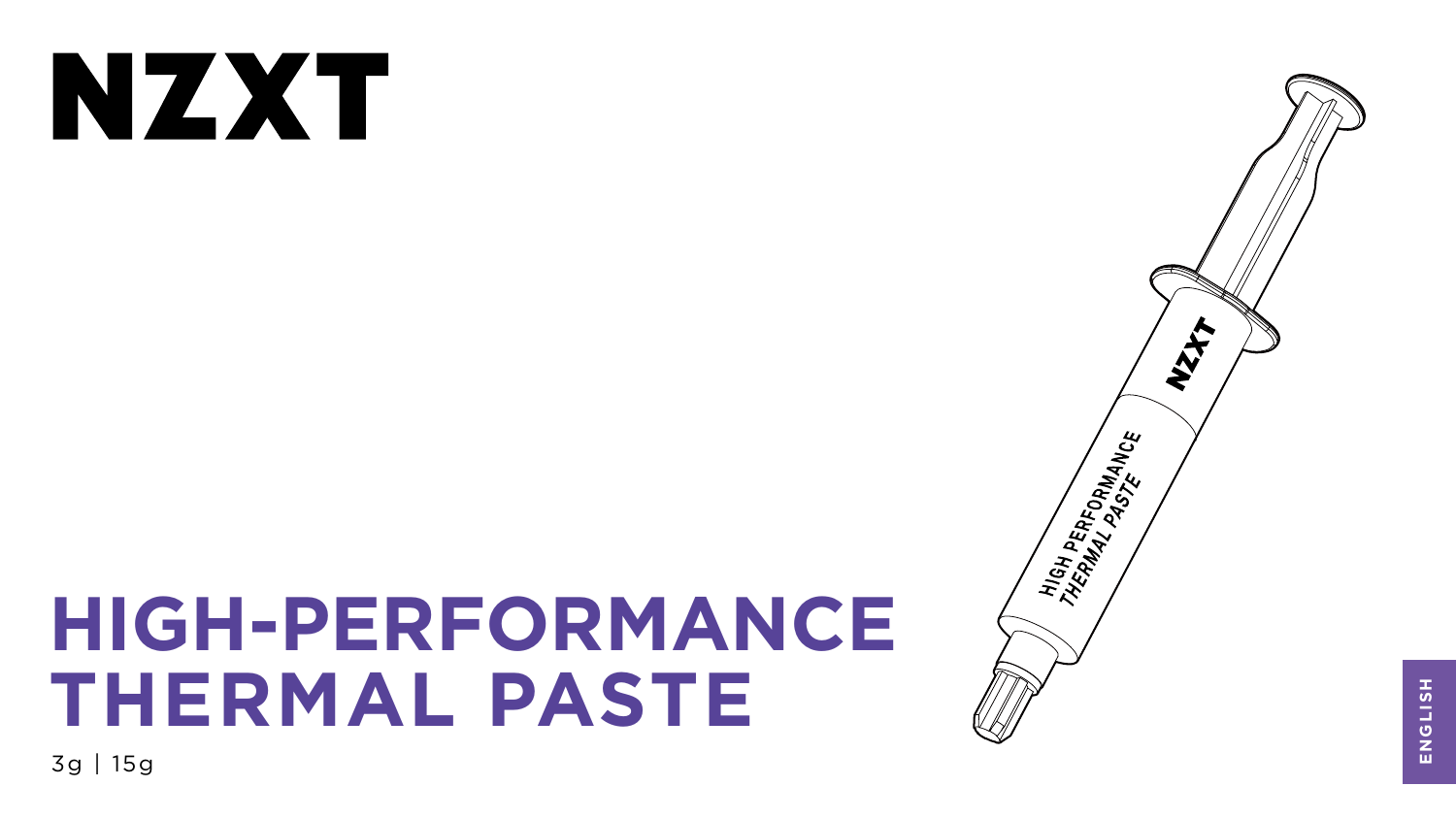# NXX

# **HIGH-PERFORMANCE THERMAL PASTE**

3g | 15g





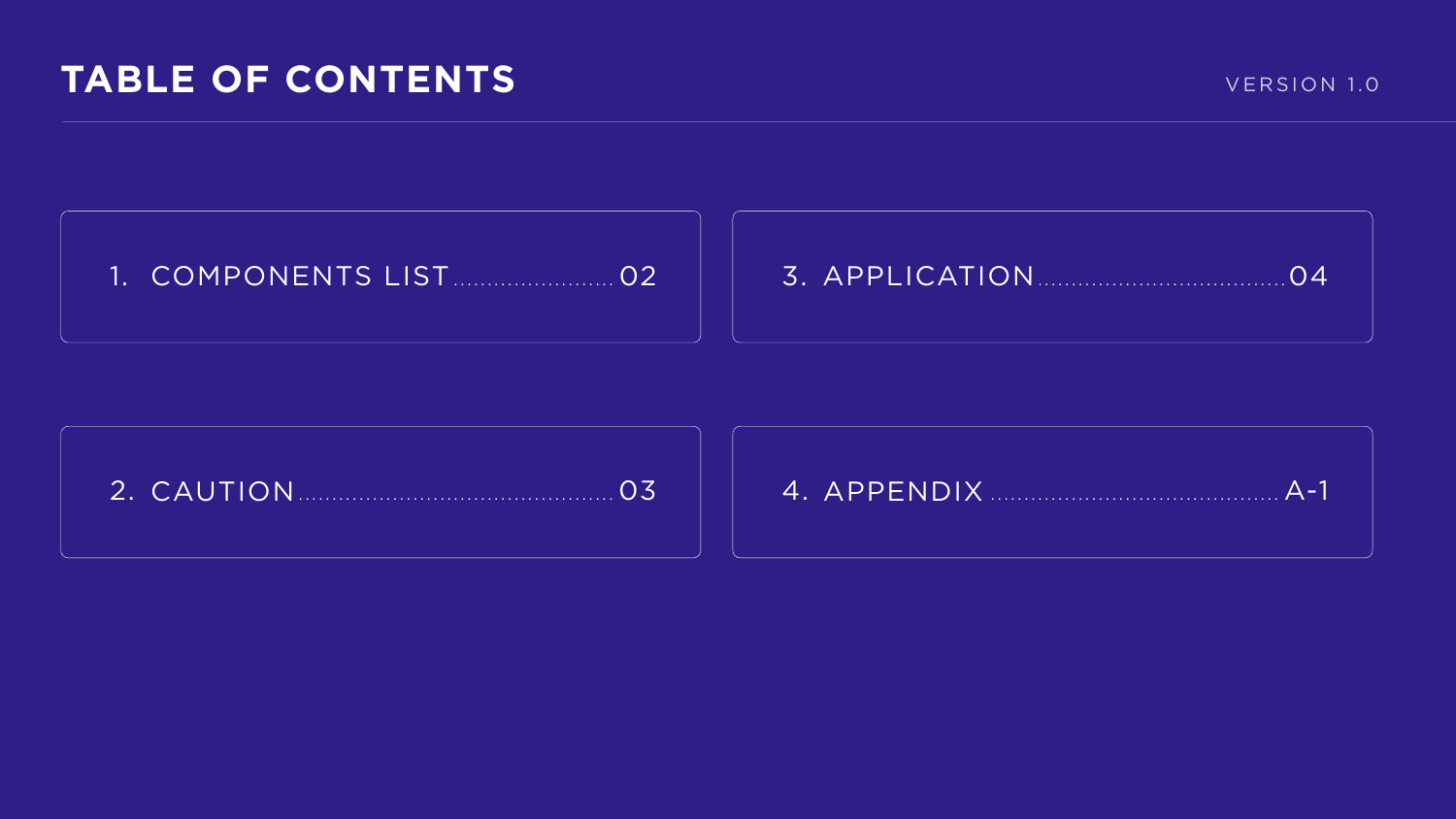## TABLE OF CONTENTS







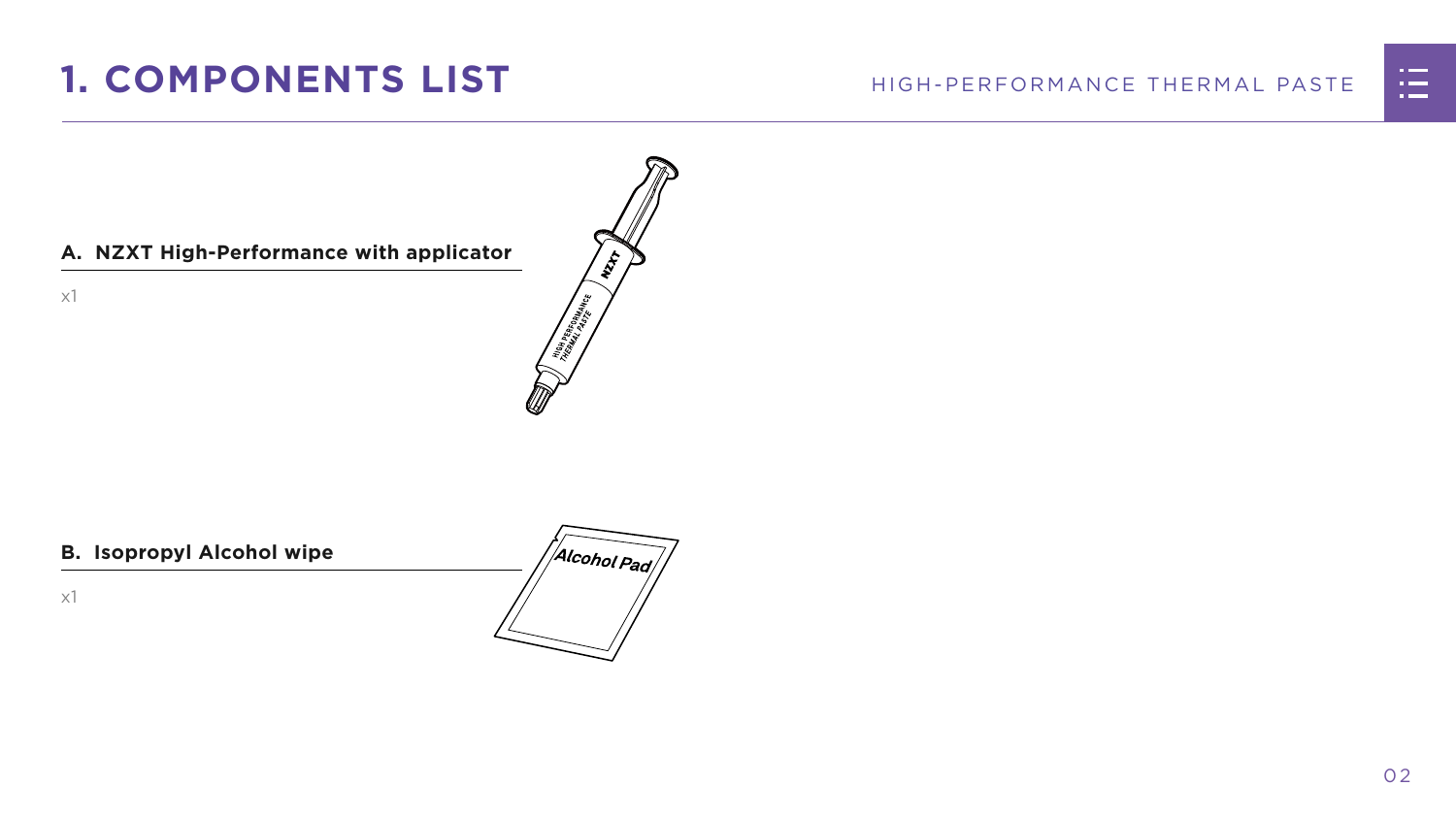



x1

## <span id="page-2-0"></span>**1. COMPONENTS LIST**

#### **B. Isopropyl Alcohol wipe**

x1



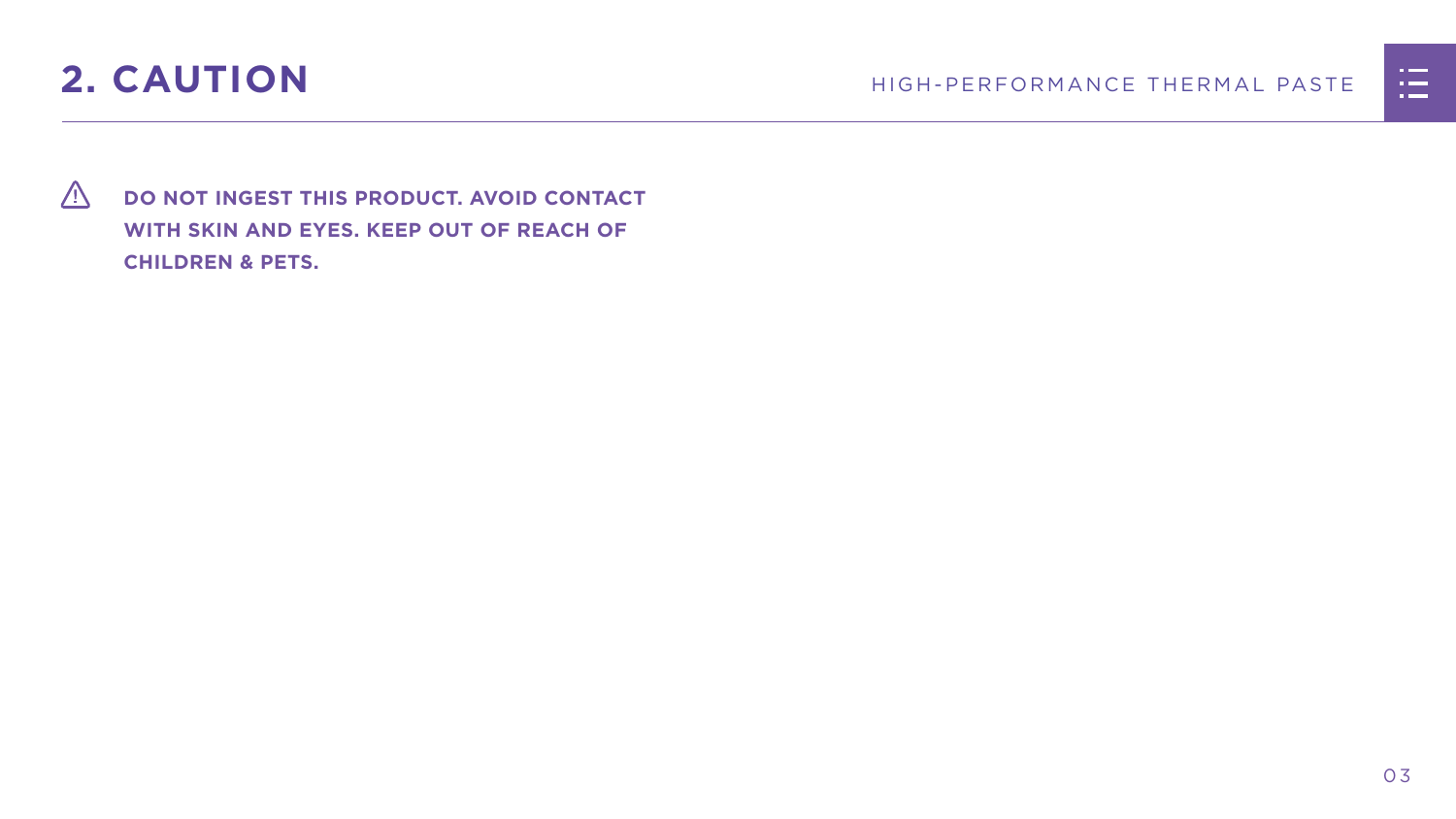

<span id="page-3-0"></span>

 **DO NOT INGEST THIS PRODUCT. AVOID CONTACT WITH SKIN AND EYES. KEEP OUT OF REACH OF CHILDREN & PETS.**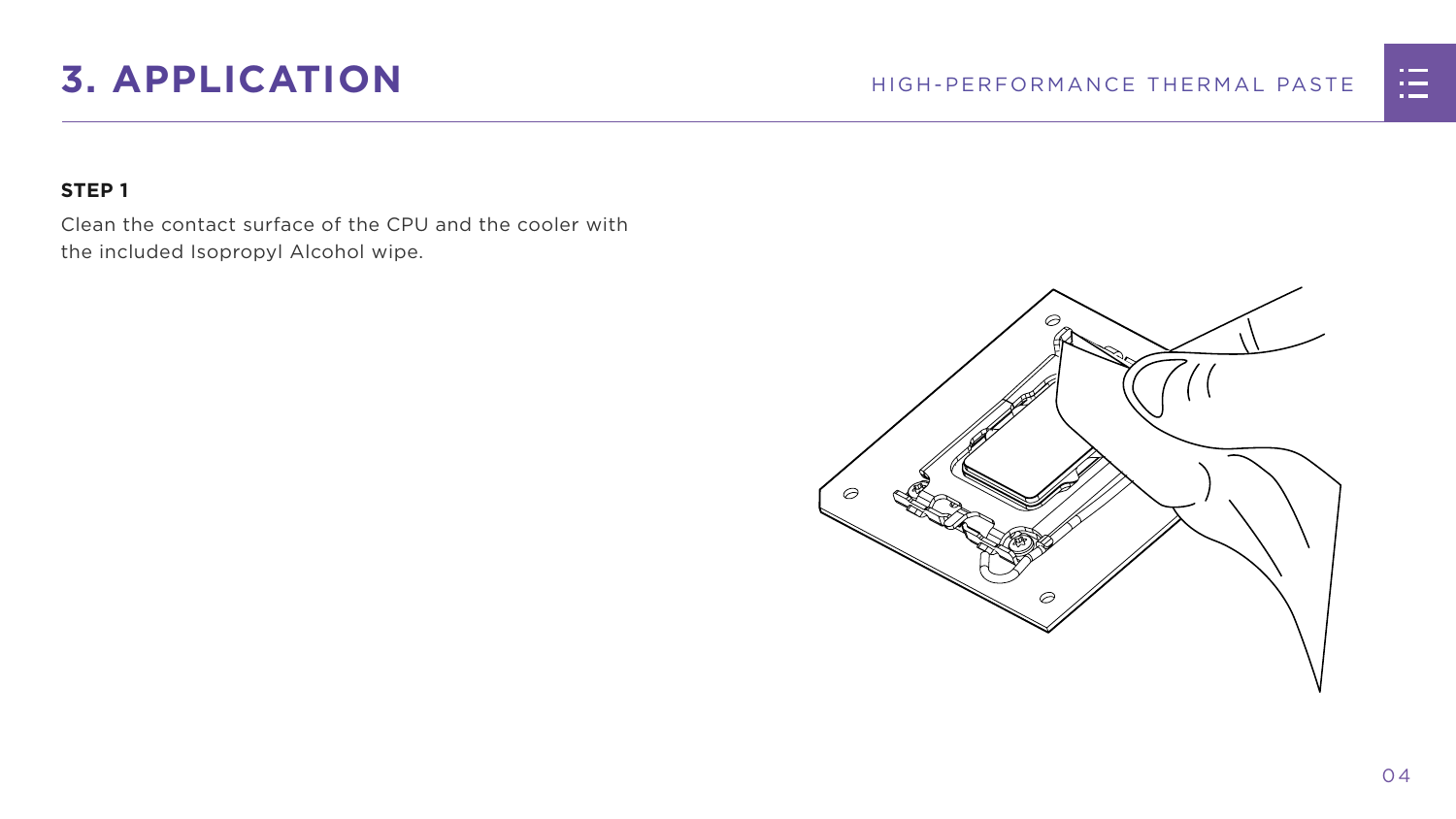## <span id="page-4-0"></span>**3. APPLICATION** HIGH-PERFORMANCE THERMAL PASTE

#### **STEP 1**

Clean the contact surface of the CPU and the cooler with the included Isopropyl Alcohol wipe.



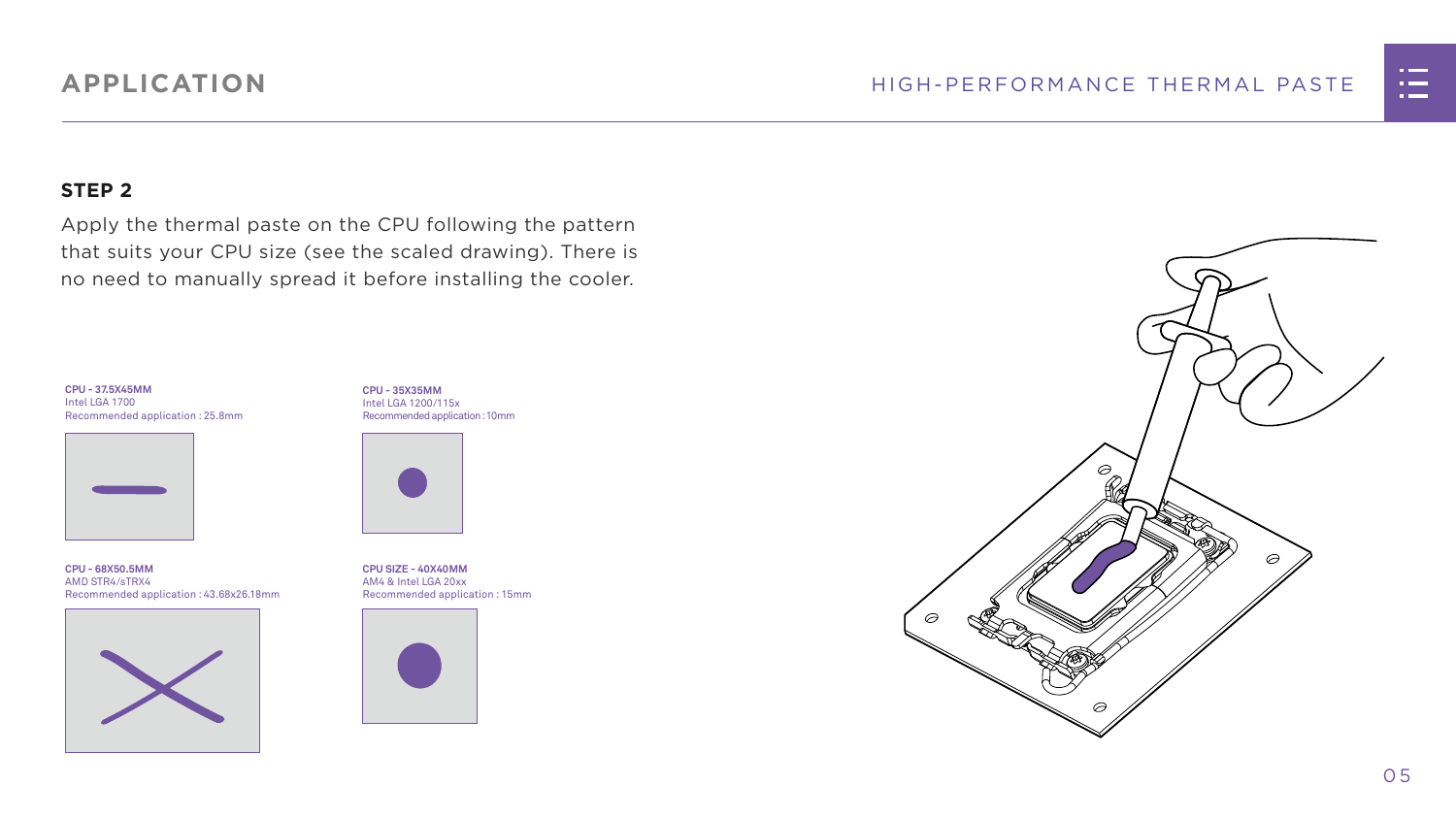



#### **STEP 2**

Apply the thermal paste on the CPU following the pattern that suits your CPU size (see the scaled drawing). There is no need to manually spread it before installing the cooler.

### **APPLICATION**

**CPU - 35X35MM** Intel LGA 1200/115x Recommended application : 10mm



**CPU SIZE - 40X40MM** AM4 & Intel LGA 20xx Recommended application : 15mm



**CPU - 68X50.5MM** AMD STR4/sTRX4 Recommended application : 43.68x26.18mm



**CPU - 37.5X45MM** Intel LGA 1700 Recommended application : 25.8mm

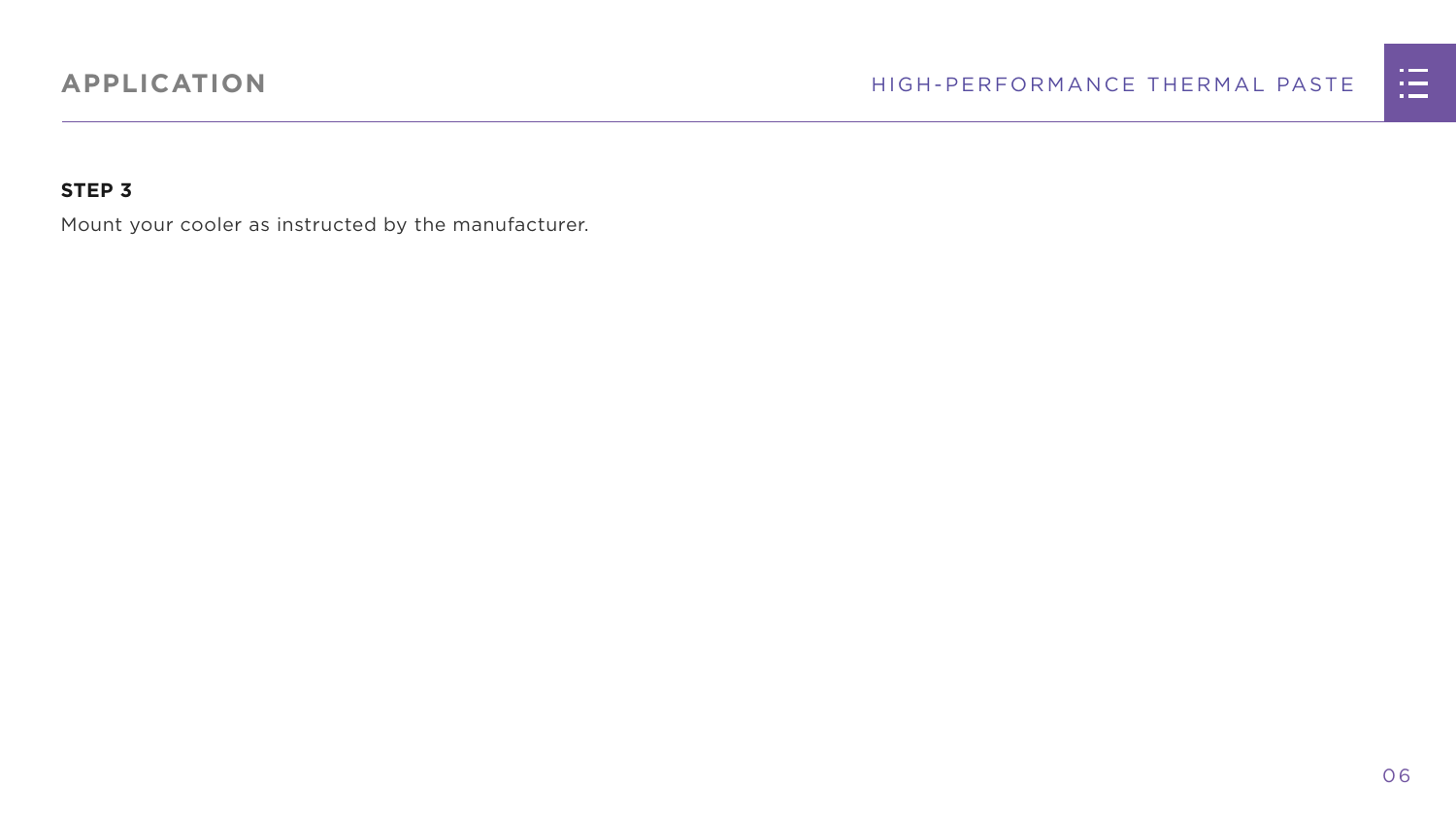

#### **STEP 3**

Mount your cooler as instructed by the manufacturer.

### **APPLICATION**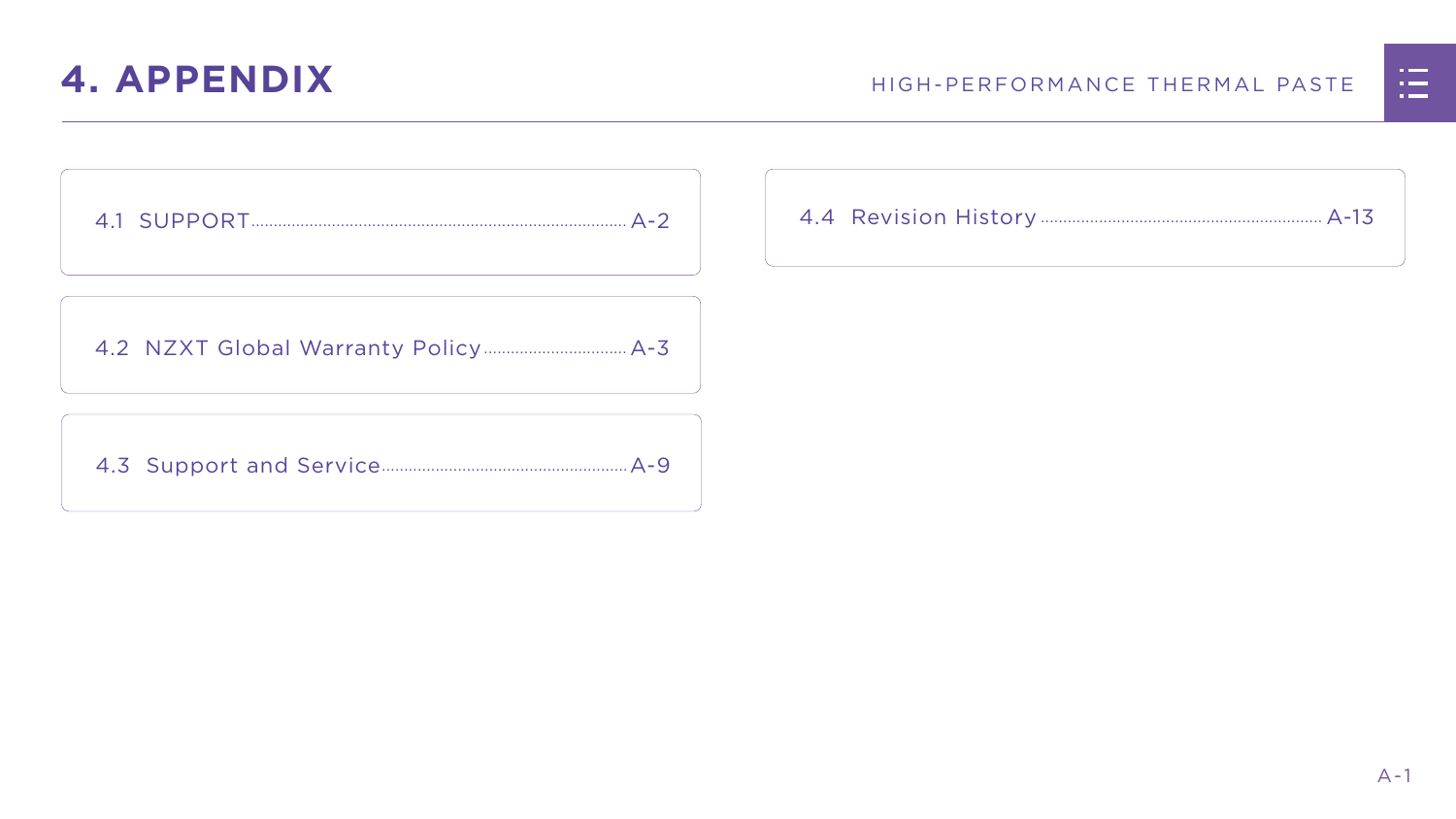



|  | n Timor S                                                                                                                                                                                                                            |  |
|--|--------------------------------------------------------------------------------------------------------------------------------------------------------------------------------------------------------------------------------------|--|
|  | <u>ransa</u>                                                                                                                                                                                                                         |  |
|  | <u> Timbu ku shekara ta 1989 ya shekara ta 1989 ya shekara ta 1989 ya shekara ta 1989 ya shekara ta 1989 ya shekara ta 1989 ya shekara ta 1989 ya shekara ta 1989 ya shekara ta 1989 ya shekara ta 1989 ya shekara ta 1989 ya sh</u> |  |
|  |                                                                                                                                                                                                                                      |  |

## <span id="page-7-0"></span>**4. APPENDIX**

[4.2 NZXT Global Warranty Policy................................](#page-9-0) A-3

[4.3 Support and Service.......................................................A-9](#page-15-0)

[4.1 SUPPORT....................................................................................](#page-8-0) A-2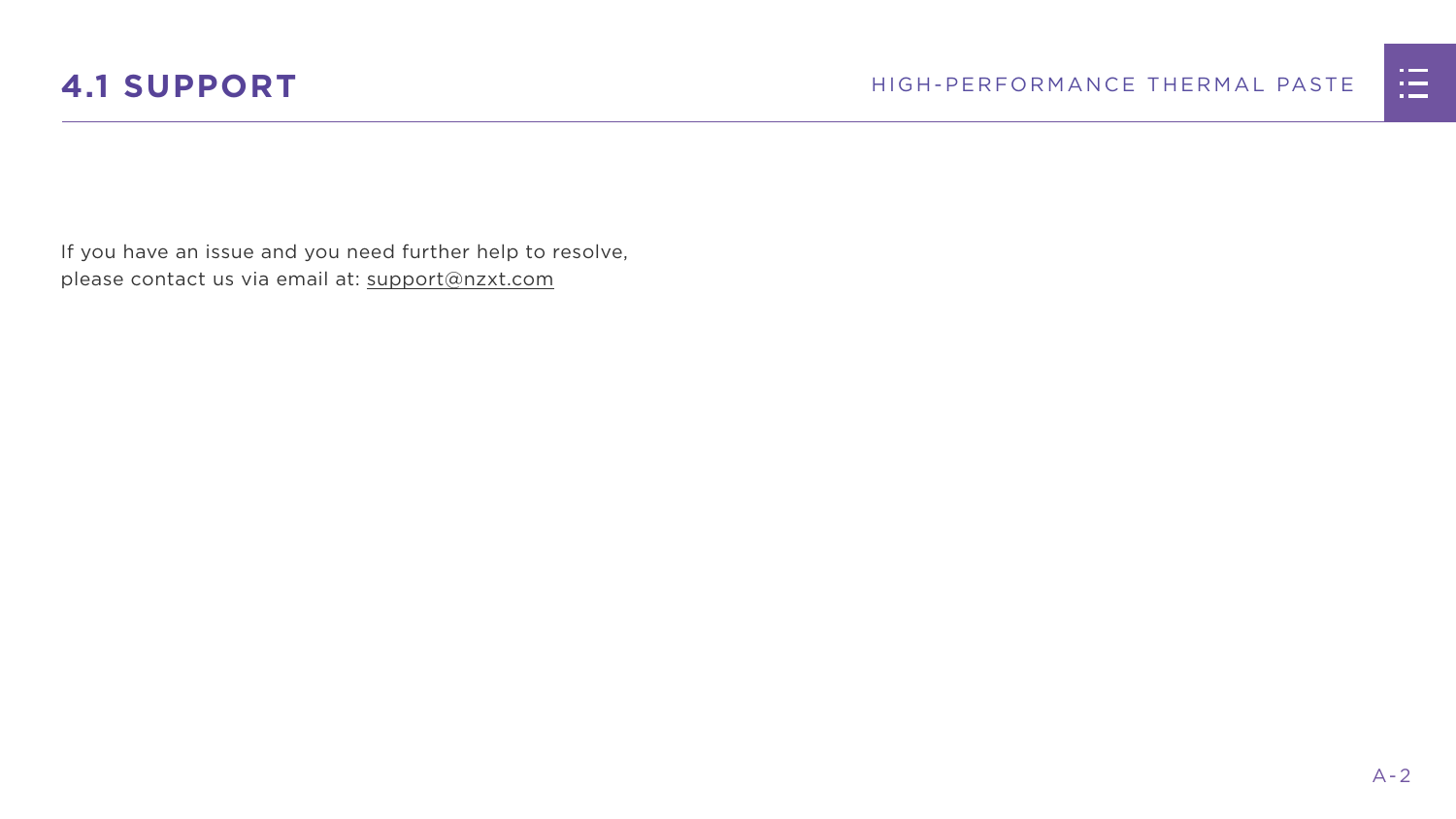



<span id="page-8-0"></span>If you have an issue and you need further help to resolve, please contact us via email at: support@nzxt.com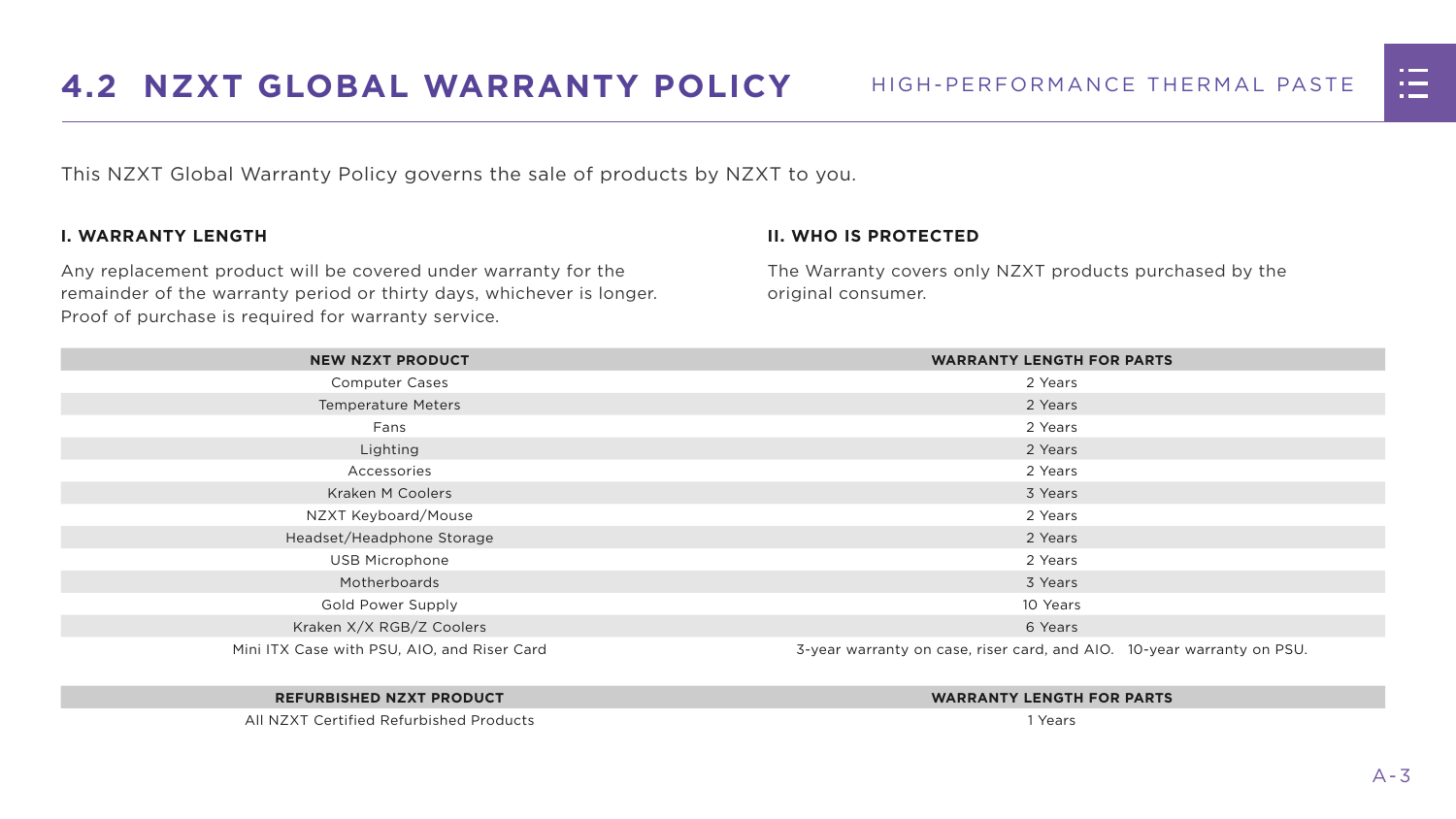



<span id="page-9-0"></span>This NZXT Global Warranty Policy governs the sale of products by NZXT to you.

#### **I. WARRANTY LENGTH**

Any replacement product will be covered under warranty for the remainder of the warranty period or thirty days, whichever is longer. Proof of purchase is required for warranty service.

#### **II. WHO IS PROTECTED**

The Warranty covers only NZXT products purchased by the original consumer.

| <b>NEW NZXT PRODUCT</b>                     | <b>WARRANTY LENGTH FOR PARTS</b>                                       |  |
|---------------------------------------------|------------------------------------------------------------------------|--|
| <b>Computer Cases</b>                       | 2 Years                                                                |  |
| <b>Temperature Meters</b>                   | 2 Years                                                                |  |
| Fans                                        | 2 Years                                                                |  |
| Lighting                                    | 2 Years                                                                |  |
| Accessories                                 | 2 Years                                                                |  |
| <b>Kraken M Coolers</b>                     | 3 Years                                                                |  |
| NZXT Keyboard/Mouse                         | 2 Years                                                                |  |
| Headset/Headphone Storage                   | 2 Years                                                                |  |
| <b>USB Microphone</b>                       | 2 Years                                                                |  |
| Motherboards                                | 3 Years                                                                |  |
| <b>Gold Power Supply</b>                    | 10 Years                                                               |  |
| Kraken X/X RGB/Z Coolers                    | 6 Years                                                                |  |
| Mini ITX Case with PSU, AIO, and Riser Card | 3-year warranty on case, riser card, and AIO. 10-year warranty on PSU. |  |

#### **REFURBISHED NZXT PRODUCT WARRANTY LENGTH FOR PARTS**





All NZXT Certified Refurbished Products 1 Years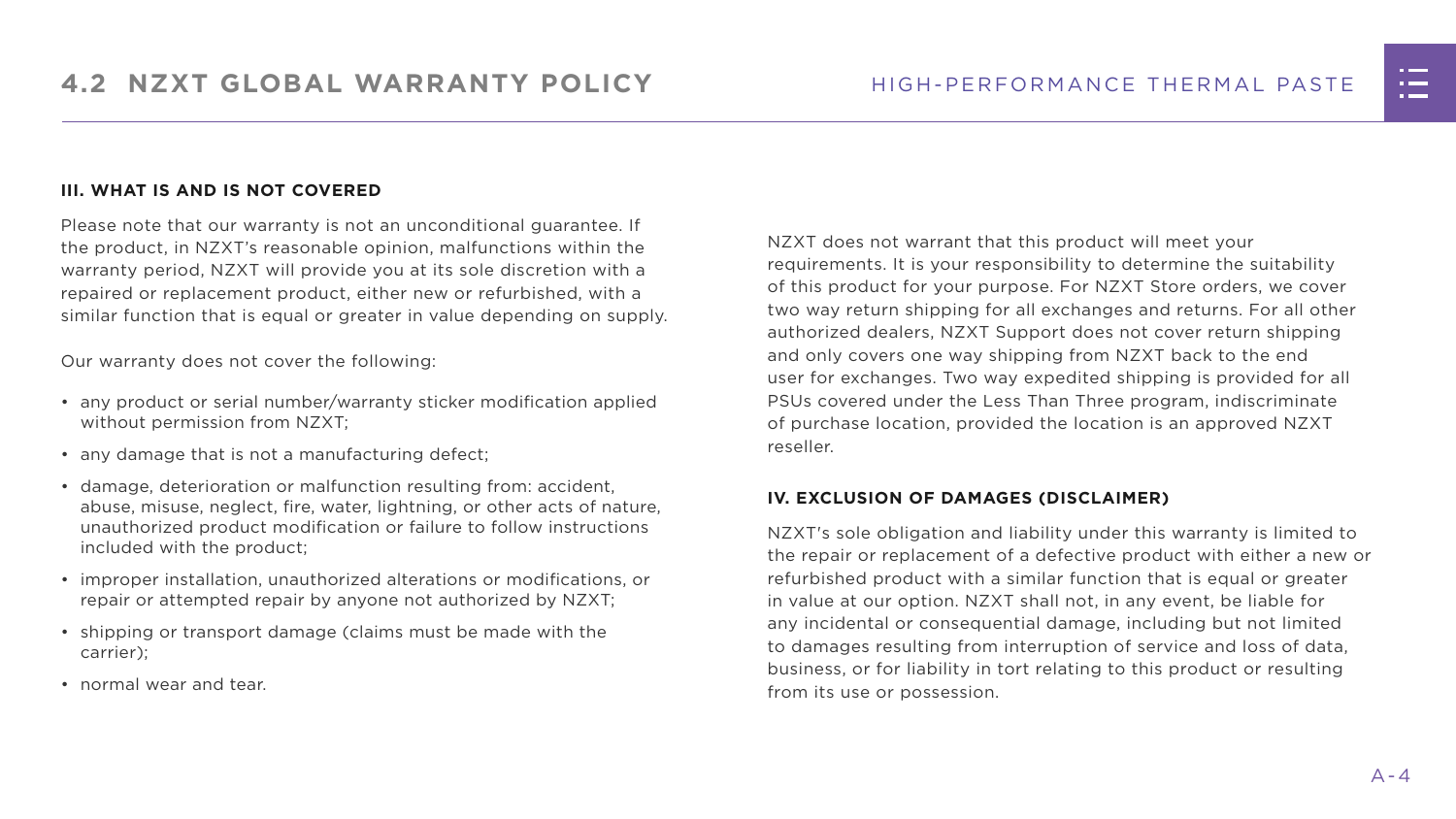#### **III. WHAT IS AND IS NOT COVERED**

Please note that our warranty is not an unconditional guarantee. If the product, in NZXT's reasonable opinion, malfunctions within the warranty period, NZXT will provide you at its sole discretion with a repaired or replacement product, either new or refurbished, with a similar function that is equal or greater in value depending on supply.

Our warranty does not cover the following:

- any product or serial number/warranty sticker modification applied without permission from NZXT;
- any damage that is not a manufacturing defect;
- damage, deterioration or malfunction resulting from: accident, abuse, misuse, neglect, fire, water, lightning, or other acts of nature, unauthorized product modification or failure to follow instructions included with the product;
- improper installation, unauthorized alterations or modifications, or repair or attempted repair by anyone not authorized by NZXT;
- shipping or transport damage (claims must be made with the carrier);
- normal wear and tear.

NZXT does not warrant that this product will meet your requirements. It is your responsibility to determine the suitability of this product for your purpose. For NZXT Store orders, we cover two way return shipping for all exchanges and returns. For all other authorized dealers, NZXT Support does not cover return shipping and only covers one way shipping from NZXT back to the end user for exchanges. Two way expedited shipping is provided for all PSUs covered under the Less Than Three program, indiscriminate of purchase location, provided the location is an approved NZXT reseller.

#### **IV. EXCLUSION OF DAMAGES (DISCLAIMER)**

NZXT's sole obligation and liability under this warranty is limited to the repair or replacement of a defective product with either a new or refurbished product with a similar function that is equal or greater in value at our option. NZXT shall not, in any event, be liable for any incidental or consequential damage, including but not limited to damages resulting from interruption of service and loss of data, business, or for liability in tort relating to this product or resulting from its use or possession.

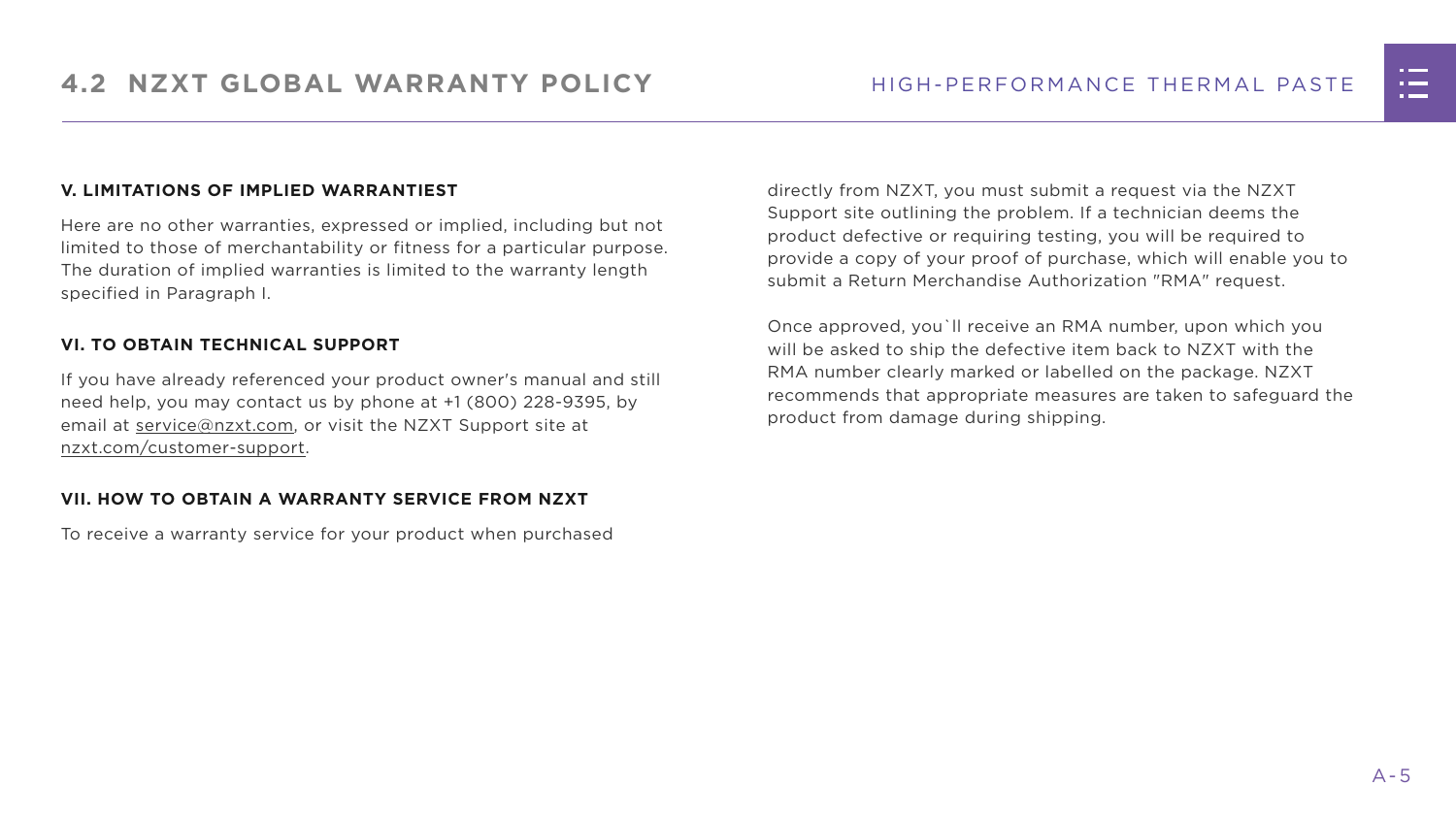#### **V. LIMITATIONS OF IMPLIED WARRANTIEST**

Here are no other warranties, expressed or implied, including but not limited to those of merchantability or fitness for a particular purpose. The duration of implied warranties is limited to the warranty length specified in Paragraph I.

#### **VI. TO OBTAIN TECHNICAL SUPPORT**

If you have already referenced your product owner's manual and still need help, you may contact us by phone at +1 (800) 228-9395, by email at [service@nzxt.com](mailto:service%40nzxt.com?subject=), or visit the NZXT Support site at [nzxt.com/customer-support.](http://nzxt.com/customer-support)

#### **VII. HOW TO OBTAIN A WARRANTY SERVICE FROM NZXT**

To receive a warranty service for your product when purchased

directly from NZXT, you must submit a request via the NZXT Support site outlining the problem. If a technician deems the product defective or requiring testing, you will be required to provide a copy of your proof of purchase, which will enable you to submit a Return Merchandise Authorization "RMA" request.

Once approved, you`ll receive an RMA number, upon which you will be asked to ship the defective item back to NZXT with the RMA number clearly marked or labelled on the package. NZXT recommends that appropriate measures are taken to safeguard the product from damage during shipping.

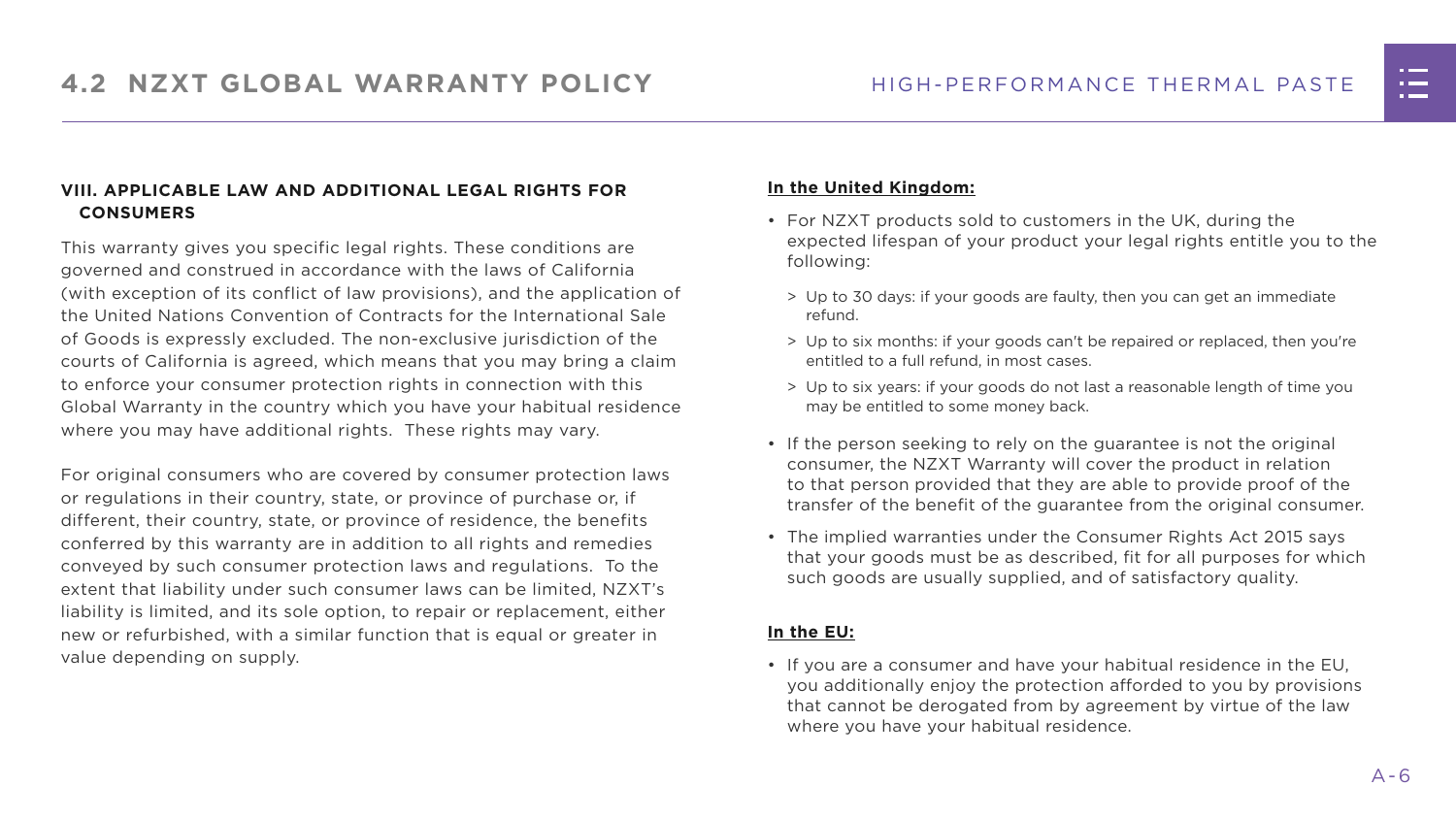#### **VIII. APPLICABLE LAW AND ADDITIONAL LEGAL RIGHTS FOR CONSUMERS**

This warranty gives you specific legal rights. These conditions are governed and construed in accordance with the laws of California (with exception of its conflict of law provisions), and the application of the United Nations Convention of Contracts for the International Sale of Goods is expressly excluded. The non-exclusive jurisdiction of the courts of California is agreed, which means that you may bring a claim to enforce your consumer protection rights in connection with this Global Warranty in the country which you have your habitual residence where you may have additional rights. These rights may vary.

For original consumers who are covered by consumer protection laws or regulations in their country, state, or province of purchase or, if different, their country, state, or province of residence, the benefits conferred by this warranty are in addition to all rights and remedies conveyed by such consumer protection laws and regulations. To the extent that liability under such consumer laws can be limited, NZXT's liability is limited, and its sole option, to repair or replacement, either new or refurbished, with a similar function that is equal or greater in value depending on supply.

#### **In the United Kingdom:**

- For NZXT products sold to customers in the UK, during the expected lifespan of your product your legal rights entitle you to the following:
	- > Up to 30 days: if your goods are faulty, then you can get an immediate refund.
	- > Up to six months: if your goods can't be repaired or replaced, then you're entitled to a full refund, in most cases.
	- > Up to six years: if your goods do not last a reasonable length of time you may be entitled to some money back.
- If the person seeking to rely on the guarantee is not the original consumer, the NZXT Warranty will cover the product in relation to that person provided that they are able to provide proof of the transfer of the benefit of the guarantee from the original consumer.
- The implied warranties under the Consumer Rights Act 2015 says that your goods must be as described, fit for all purposes for which such goods are usually supplied, and of satisfactory quality.

#### **In the EU:**

• If you are a consumer and have your habitual residence in the EU, you additionally enjoy the protection afforded to you by provisions that cannot be derogated from by agreement by virtue of the law where you have your habitual residence.

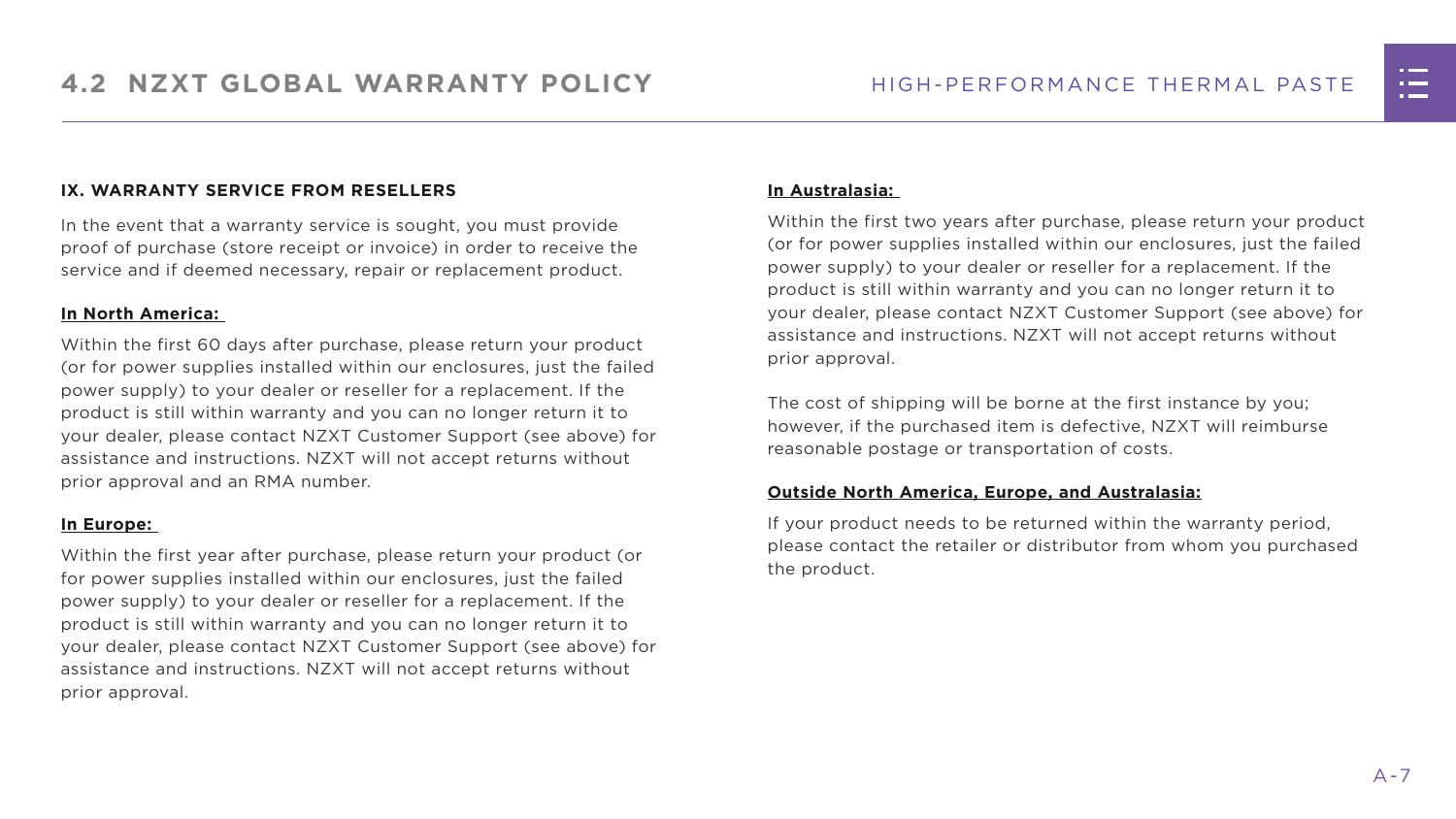#### **IX. WARRANTY SERVICE FROM RESELLERS**

In the event that a warranty service is sought, you must provide proof of purchase (store receipt or invoice) in order to receive the service and if deemed necessary, repair or replacement product.

#### **In North America:**

Within the first 60 days after purchase, please return your product (or for power supplies installed within our enclosures, just the failed power supply) to your dealer or reseller for a replacement. If the product is still within warranty and you can no longer return it to your dealer, please contact NZXT Customer Support (see above) for assistance and instructions. NZXT will not accept returns without prior approval and an RMA number.

#### **In Europe:**

Within the first year after purchase, please return your product (or for power supplies installed within our enclosures, just the failed power supply) to your dealer or reseller for a replacement. If the product is still within warranty and you can no longer return it to your dealer, please contact NZXT Customer Support (see above) for assistance and instructions. NZXT will not accept returns without prior approval.

#### **In Australasia:**

Within the first two years after purchase, please return your product (or for power supplies installed within our enclosures, just the failed power supply) to your dealer or reseller for a replacement. If the product is still within warranty and you can no longer return it to your dealer, please contact NZXT Customer Support (see above) for assistance and instructions. NZXT will not accept returns without prior approval.

The cost of shipping will be borne at the first instance by you; however, if the purchased item is defective, NZXT will reimburse reasonable postage or transportation of costs.

#### **Outside North America, Europe, and Australasia:**

If your product needs to be returned within the warranty period, please contact the retailer or distributor from whom you purchased the product.

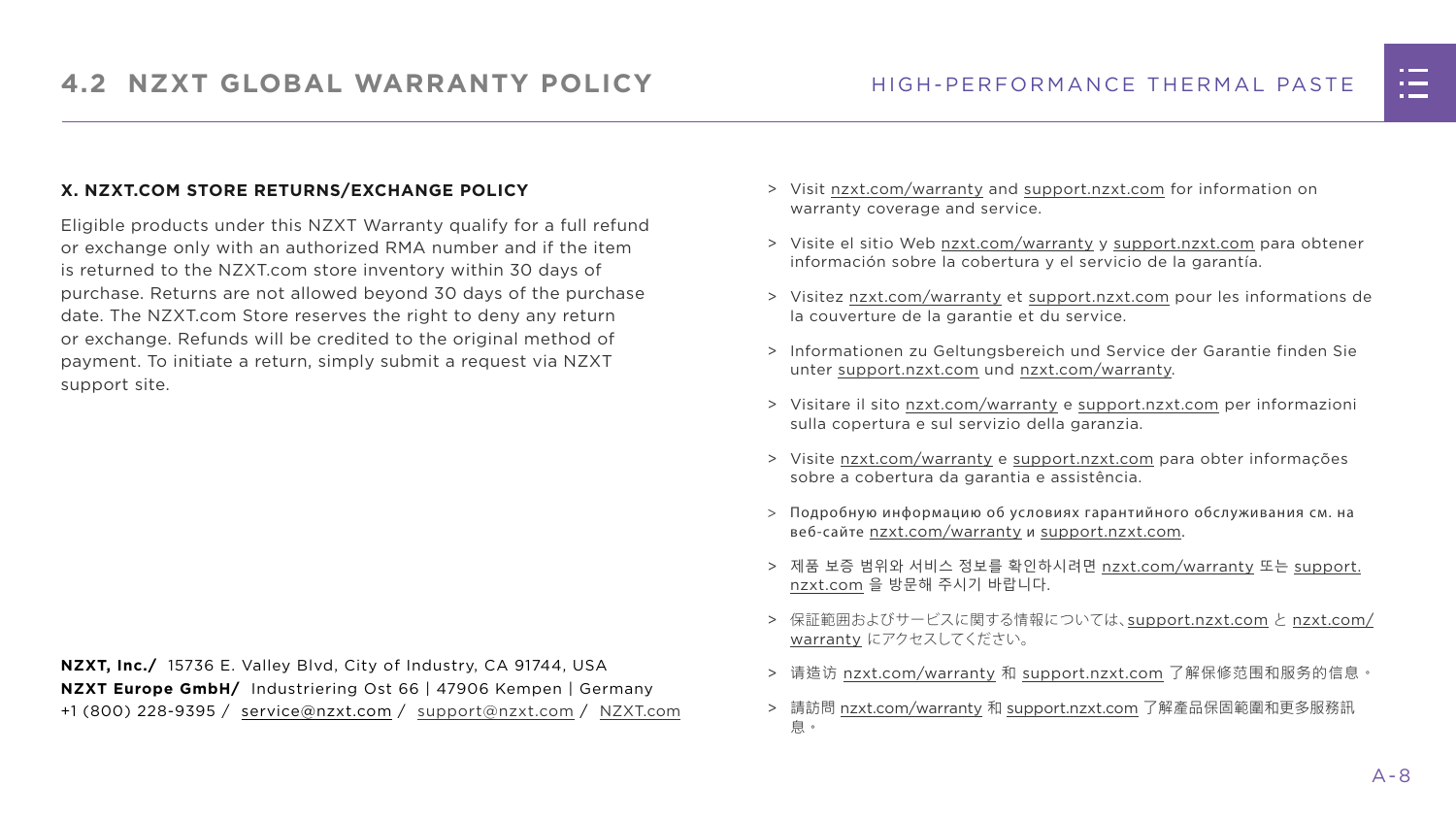#### **X. NZXT.COM STORE RETURNS/EXCHANGE POLICY**

Eligible products under this NZXT Warranty qualify for a full refund or exchange only with an authorized RMA number and if the item is returned to the NZXT.com store inventory within 30 days of purchase. Returns are not allowed beyond 30 days of the purchase date. The NZXT.com Store reserves the right to deny any return or exchange. Refunds will be credited to the original method of payment. To initiate a return, simply submit a request via NZXT support site.

- > Visit [nzxt.com/warranty](http://nzxt.com/warranty) and [support.nzxt.com](http://support.nzxt.com) for information on warranty coverage and service.
- > Visite el sitio Web [nzxt.com/warranty](http://nzxt.com/warranty) y [support.nzxt.com](http://support.nzxt.com) para obtener información sobre la cobertura y el servicio de la garantía.
- > Visitez [nzxt.com/warranty](http://nzxt.com/warranty) et [support.nzxt.com](http://support.nzxt.com) pour les informations de la couverture de la garantie et du service.
- > Informationen zu Geltungsbereich und Service der Garantie finden Sie unter [support.nzxt.com](http://support.nzxt.com) und [nzxt.com/warranty.](http://nzxt.com/warranty)
- > Visitare il sito [nzxt.com/warranty](http://nzxt.com/warranty) e [support.nzxt.com](http://support.nzxt.com) per informazioni sulla copertura e sul servizio della garanzia.
- > Visite [nzxt.com/warranty](http://nzxt.com/warranty) e [support.nzxt.com](http://support.nzxt.com) para obter informações sobre a cobertura da garantia e assistência.
- > Подробную информацию об условиях гарантийного обслуживания см. на веб-сайте [nzxt.com/warranty](http://nzxt.com/warranty) и [support.nzxt.com](http://support.nzxt.com).
- > 제품 보증 범위와 서비스 정보를 확인하시려면 [nzxt.com/warranty](http://nzxt.com/warranty) 또는 [support.](http://support.nzxt.com) [nzxt.com](http://support.nzxt.com) 을 방문해 주시기 바랍니다.
- > 保証範囲およびサービスに関する情報については、[support.nzxt.com](http://support.nzxt.com) と [nzxt.com/](http://nzxt.com/warranty) [warranty](http://nzxt.com/warranty) にアクセスしてください。
- > 请造访 [nzxt.com/warranty](http://nzxt.com/warranty) 和 [support.nzxt.com](http://support.nzxt.com) 了解保修范围和服务的信息。
- > 請訪問 [nzxt.com/warranty](http://nzxt.com/warranty) 和 [support.nzxt.com](http://support.nzxt.com) 了解產品保固範圍和更多服務訊 息。



**NZXT, Inc./** 15736 E. Valley Blvd, City of Industry, CA 91744, USA **NZXT Europe GmbH/** Industriering Ost 66 | 47906 Kempen | Germany +1 (800) 228-9395 / [service@nzxt.com](mailto:service%40nzxt.com?subject=) / [support@nzxt.com](mailto:support%40nzxt.com?subject=) / NZX[T.com](http://nzxt.com)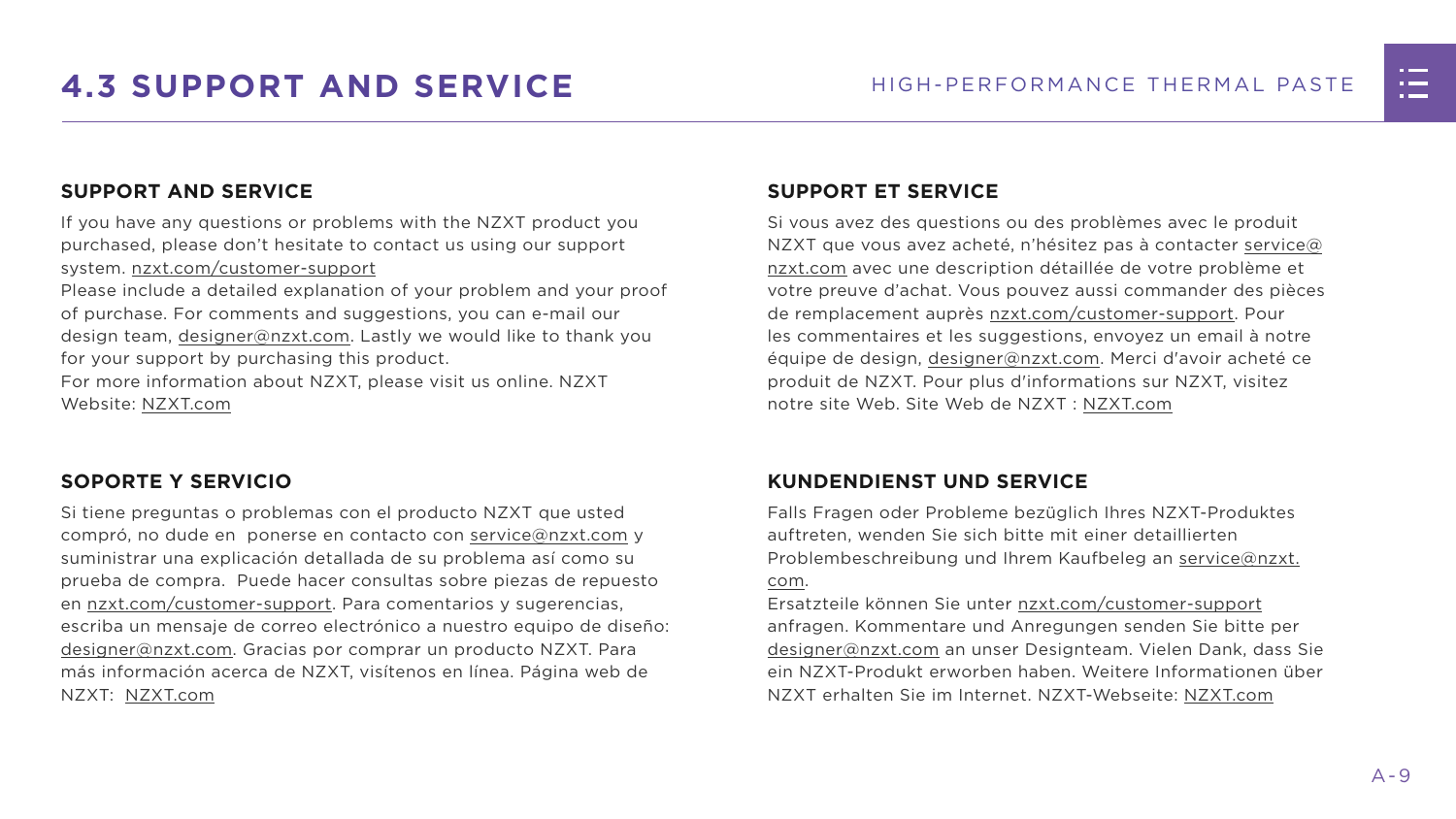

## <span id="page-15-0"></span>**4.3 SUPPORT AND SERVICE** HIGH-PERFORMANCE THERMAL PASTE

#### **SUPPORT AND SERVICE**

If you have any questions or problems with the NZXT product you purchased, please don't hesitate to contact us using our support system. [nzxt.com/customer-support](http://nzxt.com/customer-support)

Please include a detailed explanation of your problem and your proof of purchase. For comments and suggestions, you can e-mail our design team, [designer@nzxt.com.](mailto:designer%40nzxt.com?subject=) Lastly we would like to thank you for your support by purchasing this product.

For more information about NZXT, please visit us online. NZXT Website: NZX[T.com](http://nzxt.com)

#### **SOPORTE Y SERVICIO**

Si tiene preguntas o problemas con el producto NZXT que usted compró, no dude en ponerse en contacto con [service@nzxt.com](mailto:service%40nzxt.com?subject=) y suministrar una explicación detallada de su problema así como su prueba de compra. Puede hacer consultas sobre piezas de repuesto en [nzxt.com/customer-support.](http://nzxt.com/customer-support) Para comentarios y sugerencias, escriba un mensaje de correo electrónico a nuestro equipo de diseño: [designer@nzxt.com.](mailto:designer%40nzxt.com?subject=) Gracias por comprar un producto NZXT. Para más información acerca de NZXT, visítenos en línea. Página web de NZXT: NZX[T.com](http://nzxt.com)

#### **SUPPORT ET SERVICE**

Si vous avez des questions ou des problèmes avec le produit NZXT que vous avez acheté, n'hésitez pas à contacter [service@](mailto:service%40nzxt.com?subject=) [nzxt.com](mailto:service%40nzxt.com?subject=) avec une description détaillée de votre problème et votre preuve d'achat. Vous pouvez aussi commander des pièces de remplacement auprès [nzxt.com/customer-support.](http://nzxt.com/customer-support) Pour les commentaires et les suggestions, envoyez un email à notre équipe de design, [designer@nzxt.com.](mailto:designer%40nzxt.com?subject=) Merci d'avoir acheté ce produit de NZXT. Pour plus d'informations sur NZXT, visitez notre site Web. Site Web de NZXT : NZX[T.com](http://nzxt.com)

#### **KUNDENDIENST UND SERVICE**

Falls Fragen oder Probleme bezüglich Ihres NZXT-Produktes auftreten, wenden Sie sich bitte mit einer detaillierten Problembeschreibung und Ihrem Kaufbeleg an [service@nzxt.](mailto:service%40nzxt.com?subject=) [com](mailto:service%40nzxt.com?subject=).

Ersatzteile können Sie unter [nzxt.com/customer-support](http://nzxt.com/customer-support) anfragen. Kommentare und Anregungen senden Sie bitte per [designer@nzxt.com](mailto:designer%40nzxt.com?subject=) an unser Designteam. Vielen Dank, dass Sie ein NZXT-Produkt erworben haben. Weitere Informationen über NZXT erhalten Sie im Internet. NZXT-Webseite: NZX[T.com](http://nzxt.com)

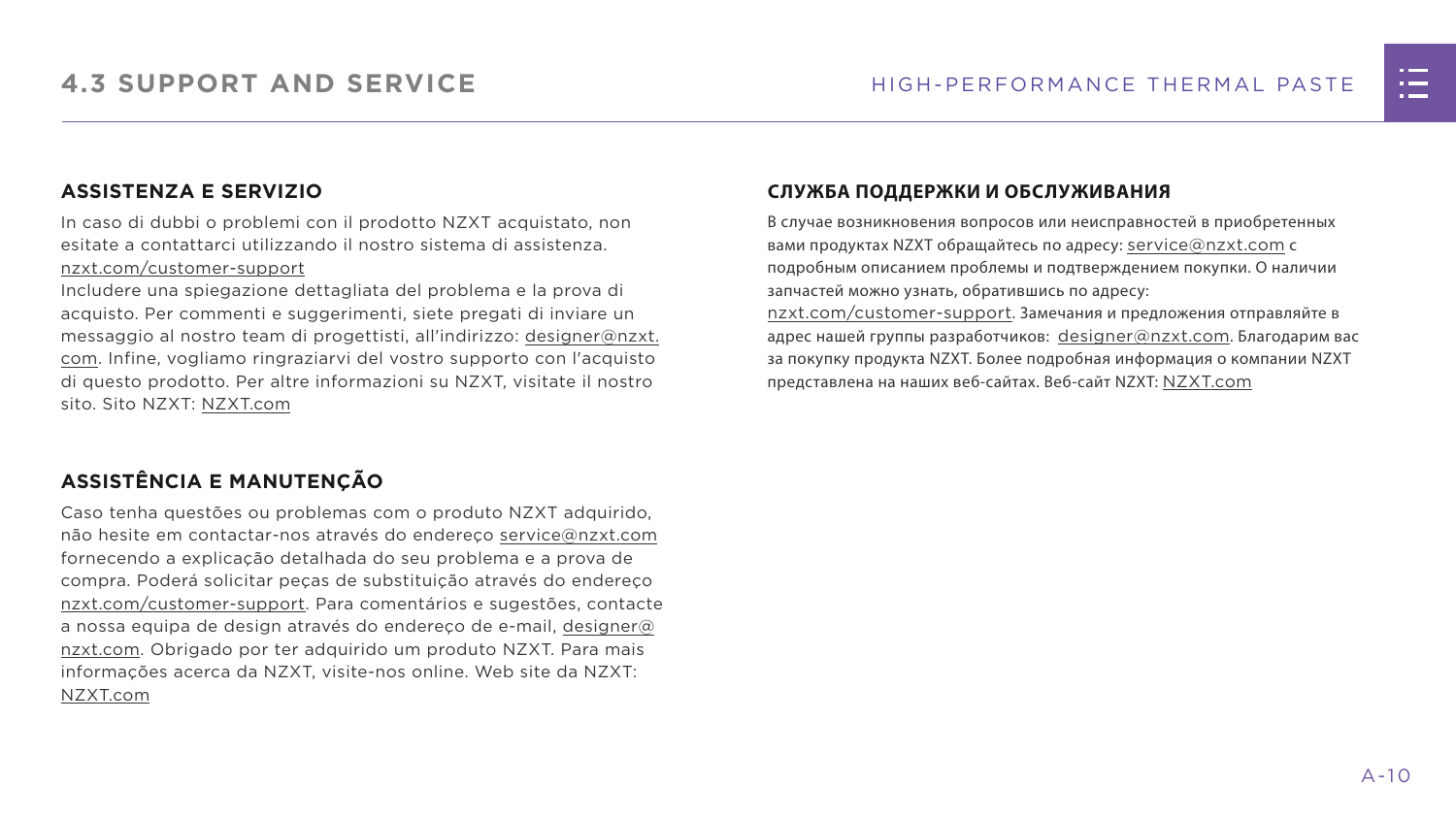#### **ASSISTENZA E SERVIZIO**

In caso di dubbi o problemi con il prodotto NZXT acquistato, non esitate a contattarci utilizzando il nostro sistema di assistenza. [nzxt.com/customer-support](http://nzxt.com/customer-support)

Includere una spiegazione dettagliata del problema e la prova di acquisto. Per commenti e suggerimenti, siete pregati di inviare un messaggio al nostro team di progettisti, all'indirizzo: [designer@nzxt.](mailto:designer%40nzxt.com?subject=) [com](mailto:designer%40nzxt.com?subject=). Infine, vogliamo ringraziarvi del vostro supporto con l'acquisto di questo prodotto. Per altre informazioni su NZXT, visitate il nostro sito. Sito NZXT: NZX[T.com](http://nzxt.com)

В случае возникновения вопросов или неисправностей в приобретенных вами продуктах NZXT обращайтесь по адресу: [service@nzxt.com](mailto:service%40nzxt.com?subject=) с подробным описанием проблемы и подтверждением покупки. О наличии запчастей можно узнать, обратившись по адресу: [nzxt.com/customer-support](http://nzxt.com/customer-support). Замечания и предложения отправляйте в адрес нашей группы разработчиков: [designer@nzxt.com](mailto:designer%40nzxt.com?subject=). Благодарим вас

#### **ASSISTÊNCIA E MANUTENÇÃO**

Caso tenha questões ou problemas com o produto NZXT adquirido, não hesite em contactar-nos através do endereço [service@nzxt.com](mailto:service%40nzxt.com?subject=) fornecendo a explicação detalhada do seu problema e a prova de compra. Poderá solicitar peças de substituição através do endereço [nzxt.com/customer-support.](http://nzxt.com/customer-support) Para comentários e sugestões, contacte a nossa equipa de design através do endereço de e-mail, [designer@](mailto:designer%40nzxt.com?subject=) [nzxt.com.](mailto:designer%40nzxt.com?subject=) Obrigado por ter adquirido um produto NZXT. Para mais informações acerca da NZXT, visite-nos online. Web site da NZXT: NZX[T.com](http://nzxt.com)

#### **СЛУЖБА ПОДДЕРЖКИ И ОБСЛУЖИВАНИЯ**

за покупку продукта NZXT. Более подробная информация о компании NZXT представлена на наших веб-сайтах. Веб-сайт NZXT: NZX[T.com](http://nzxt.com)

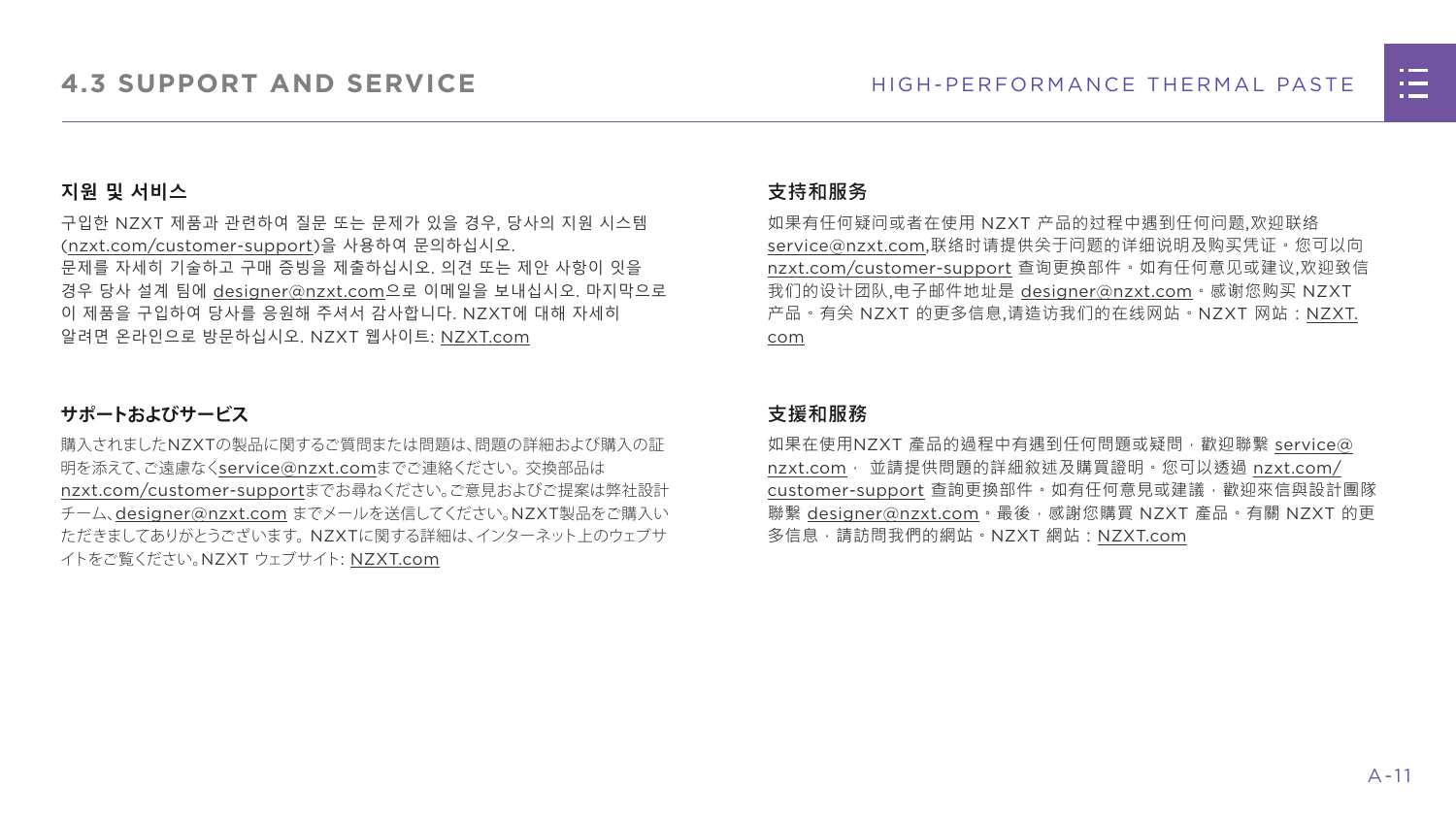

#### **지원 및 서비스**

구입한 NZXT 제품과 관련하여 질문 또는 문제가 있을 경우, 당사의 지원 시스템 ([nzxt.com/customer-support\)](http://nzxt.com/customer-support)을 사용하여 문의하십시오. 문제를 자세히 기술하고 구매 증빙을 제출하십시오. 의견 또는 제안 사항이 잇을 경우 당사 설계 팀에 [designer@nzxt.com](mailto:designer%40nzxt.com?subject=)으로 이메일을 보내십시오. 마지막으로 이 제품을 구입하여 당사를 응원해 주셔서 감사합니다. NZXT에 대해 자세히 알려면 온라인으로 방문하십시오. NZXT 웹사이트: NZX[T.com](http://nzxt.com)

#### **サポートおよびサービス**

購入されましたNZXTの製品に関するご質問または問題は、問題の詳細および購入の証 明を添えて、ご遠慮なく[service@nzxt.com](mailto:service%40nzxt.com?subject=)までご連絡ください。交換部品は [nzxt.com/customer-support](http://nzxt.com/customer-support)までお尋ねください。ご意見およびご提案は弊社設計 チーム、[designer@nzxt.com](mailto:designer%40nzxt.com?subject=) までメールを送信してください。NZXT製品をご購入い ただきましてありがとうございます。 NZXTに関する詳細は、インターネット上のウェブサ イトをご覧ください。NZXT ウェブサイト: NZX[T.com](http://nzxt.com)

#### **支持和服务**

如果有任何疑问或者在使用 NZXT 产品的过程中遇到任何问题,欢迎联络 [service@nzxt.com,](mailto:service%40nzxt.com?subject=)联络时请提供关于问题的详细说明及购买凭证。您可以向 [nzxt.com/customer-support](http://nzxt.com/customer-support) 查询更换部件。如有任何意见或建议,欢迎致信 我们的设计团队,电子邮件地址是 [designer@nzxt.com](mailto:designer%40nzxt.com?subject=)。感谢您购买 NZXT 产品。有关 NZXT 的更多信息,请造访我们的在线网站。NZXT 网站:NZX[T.](http://nzxt.com) [com](http://nzxt.com)

#### **支援和服務**

如果在使用NZXT 產品的過程中有遇到任何問題或疑問, 歡迎聯繫 [service@](mailto:service%40nzxt.com?subject=) [nzxt.com](mailto:service%40nzxt.com?subject=), 並請提供問題的詳細敘述及購買證明。您可以透過 [nzxt.com/](http://nzxt.com/customer-support) [customer-support](http://nzxt.com/customer-support) 查詢更換部件。如有任何意見或建議,歡迎來信與設計團隊 聯繫 [designer@nzxt.com](mailto:designer%40nzxt.com?subject=)。最後,感謝您購買 NZXT 產品。有關 NZXT 的更 多信息,請訪問我們的網站。NZXT 網站: NZX[T.com](http://nzxt.com)